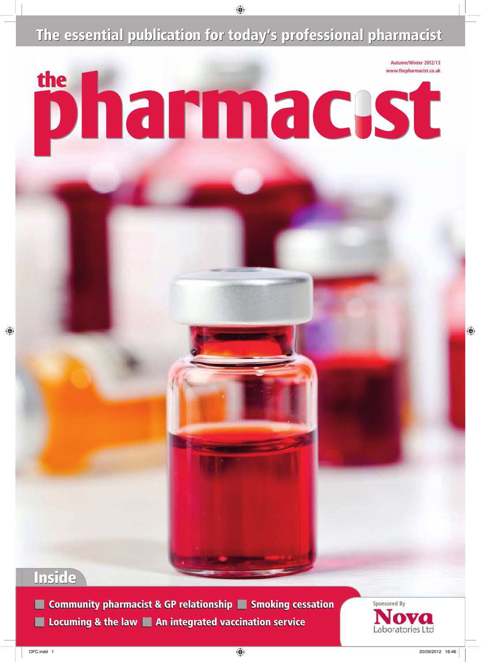The essential publication for today's professional pharmacist



## Inside

■ Community pharmacist & GP relationship ■ Smoking cessation **■ Sponsored By** ■ Locuming & the law ■ An integrated vaccination service

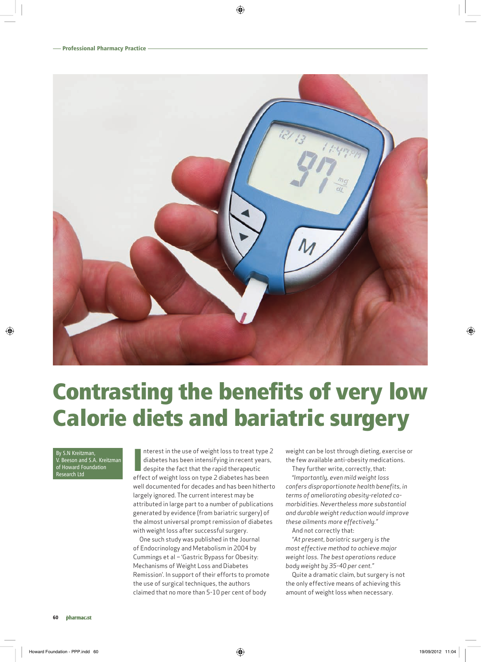

# Contrasting the benefits of very low Calorie diets and bariatric surgery

By S.N Kreitzman, Beeson and S.A. Kreitzman of Howard Foundation Research Ltd

Interest in the use of weight loss to treat type<br>diabetes has been intensifying in recent years<br>despite the fact that the rapid therapeutic<br>effect of weight loss on type 2 diabetes has been nterest in the use of weight loss to treat type 2 diabetes has been intensifying in recent years, despite the fact that the rapid therapeutic well documented for decades and has been hitherto largely ignored. The current interest may be attributed in large part to a number of publications generated by evidence (from bariatric surgery) of the almost universal prompt remission of diabetes with weight loss after successful surgery.

One such study was published in the Journal of Endocrinology and Metabolism in 2004 by Cummings et al – 'Gastric Bypass for Obesity: Mechanisms of Weight Loss and Diabetes Remission'. In support of their efforts to promote the use of surgical techniques, the authors claimed that no more than 5-10 per cent of body

weight can be lost through dieting, exercise or the few available anti-obesity medications.

They further write, correctly, that:

*"Importantly, even mild weight loss confers disproportionate health benefits, in terms of ameliorating obesity-related comorbidities. Nevertheless more substantial and durable weight reduction would improve these ailments more effectively."* 

And not correctly that:

*"At present, bariatric surgery is the most effective method to achieve major weight loss. The best operations reduce body weight by 35-40 per cent."* 

Quite a dramatic claim, but surgery is not the only effective means of achieving this amount of weight loss when necessary.